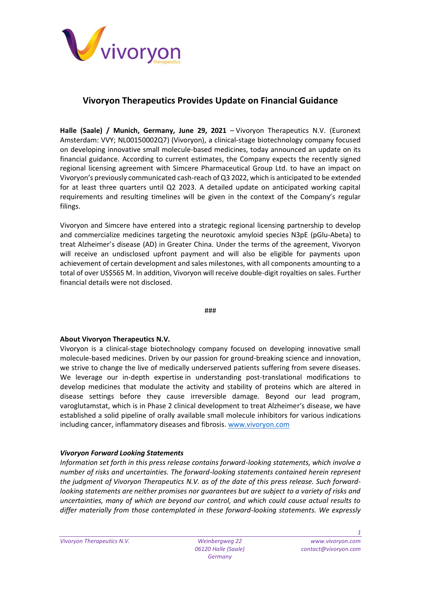

## **Vivoryon Therapeutics Provides Update on Financial Guidance**

**Halle (Saale) / Munich, Germany, June 29, 2021** – Vivoryon Therapeutics N.V. (Euronext Amsterdam: VVY; NL00150002Q7) (Vivoryon), a clinical-stage biotechnology company focused on developing innovative small molecule-based medicines, today announced an update on its financial guidance. According to current estimates, the Company expects the recently signed regional licensing agreement with Simcere Pharmaceutical Group Ltd. to have an impact on Vivoryon's previously communicated cash-reach of Q3 2022, which is anticipated to be extended for at least three quarters until Q2 2023. A detailed update on anticipated working capital requirements and resulting timelines will be given in the context of the Company's regular filings.

Vivoryon and Simcere have entered into a strategic regional licensing partnership to develop and commercialize medicines targeting the neurotoxic amyloid species N3pE (pGlu-Abeta) to treat Alzheimer's disease (AD) in Greater China. Under the terms of the agreement, Vivoryon will receive an undisclosed upfront payment and will also be eligible for payments upon achievement of certain development and sales milestones, with all components amounting to a total of over US\$565 M. In addition, Vivoryon will receive double-digit royalties on sales. Further financial details were not disclosed.

###

## **About Vivoryon Therapeutics N.V.**

Vivoryon is a clinical-stage biotechnology company focused on developing innovative small molecule-based medicines. Driven by our passion for ground-breaking science and innovation, we strive to change the live of medically underserved patients suffering from severe diseases. We leverage our in-depth expertise in understanding post-translational modifications to develop medicines that modulate the activity and stability of proteins which are altered in disease settings before they cause irreversible damage. Beyond our lead program, varoglutamstat, which is in Phase 2 clinical development to treat Alzheimer's disease, we have established a solid pipeline of orally available small molecule inhibitors for various indications including cancer, inflammatory diseases and fibrosis. [www.vivoryon.com](http://www.vivoryon.com/)

## *Vivoryon Forward Looking Statements*

*Information set forth in this press release contains forward-looking statements, which involve a number of risks and uncertainties. The forward-looking statements contained herein represent the judgment of Vivoryon Therapeutics N.V. as of the date of this press release. Such forwardlooking statements are neither promises nor guarantees but are subject to a variety of risks and uncertainties, many of which are beyond our control, and which could cause actual results to differ materially from those contemplated in these forward-looking statements. We expressly* 

*1*